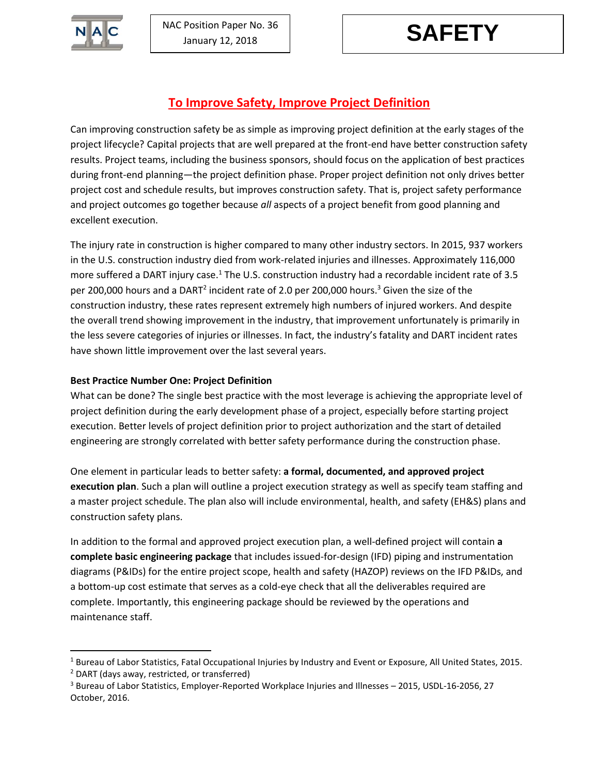

 $\overline{a}$ 

# **To Improve Safety, Improve Project Definition**

Can improving construction safety be as simple as improving project definition at the early stages of the project lifecycle? Capital projects that are well prepared at the front-end have better construction safety results. Project teams, including the business sponsors, should focus on the application of best practices during front-end planning―the project definition phase. Proper project definition not only drives better project cost and schedule results, but improves construction safety. That is, project safety performance and project outcomes go together because *all* aspects of a project benefit from good planning and excellent execution.

The injury rate in construction is higher compared to many other industry sectors. In 2015, 937 workers in the U.S. construction industry died from work-related injuries and illnesses. Approximately 116,000 more suffered a DART injury case.<sup>1</sup> The U.S. construction industry had a recordable incident rate of 3.5 per 200,000 hours and a DART<sup>2</sup> incident rate of 2.0 per 200,000 hours.<sup>3</sup> Given the size of the construction industry, these rates represent extremely high numbers of injured workers. And despite the overall trend showing improvement in the industry, that improvement unfortunately is primarily in the less severe categories of injuries or illnesses. In fact, the industry's fatality and DART incident rates have shown little improvement over the last several years.

## **Best Practice Number One: Project Definition**

What can be done? The single best practice with the most leverage is achieving the appropriate level of project definition during the early development phase of a project, especially before starting project execution. Better levels of project definition prior to project authorization and the start of detailed engineering are strongly correlated with better safety performance during the construction phase.

One element in particular leads to better safety: **a formal, documented, and approved project execution plan**. Such a plan will outline a project execution strategy as well as specify team staffing and a master project schedule. The plan also will include environmental, health, and safety (EH&S) plans and construction safety plans.

In addition to the formal and approved project execution plan, a well-defined project will contain **a complete basic engineering package** that includes issued-for-design (IFD) piping and instrumentation diagrams (P&IDs) for the entire project scope, health and safety (HAZOP) reviews on the IFD P&IDs, and a bottom-up cost estimate that serves as a cold-eye check that all the deliverables required are complete. Importantly, this engineering package should be reviewed by the operations and maintenance staff.

<sup>1</sup> Bureau of Labor Statistics, Fatal Occupational Injuries by Industry and Event or Exposure, All United States, 2015. <sup>2</sup> DART (days away, restricted, or transferred)

 $3$  Bureau of Labor Statistics, Employer-Reported Workplace Injuries and Illnesses – 2015, USDL-16-2056, 27 October, 2016.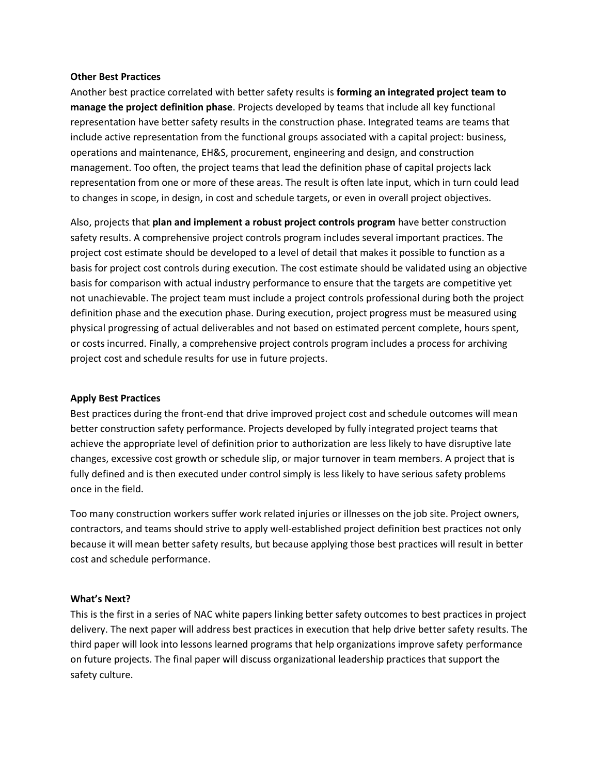### **Other Best Practices**

Another best practice correlated with better safety results is **forming an integrated project team to manage the project definition phase**. Projects developed by teams that include all key functional representation have better safety results in the construction phase. Integrated teams are teams that include active representation from the functional groups associated with a capital project: business, operations and maintenance, EH&S, procurement, engineering and design, and construction management. Too often, the project teams that lead the definition phase of capital projects lack representation from one or more of these areas. The result is often late input, which in turn could lead to changes in scope, in design, in cost and schedule targets, or even in overall project objectives.

Also, projects that **plan and implement a robust project controls program** have better construction safety results. A comprehensive project controls program includes several important practices. The project cost estimate should be developed to a level of detail that makes it possible to function as a basis for project cost controls during execution. The cost estimate should be validated using an objective basis for comparison with actual industry performance to ensure that the targets are competitive yet not unachievable. The project team must include a project controls professional during both the project definition phase and the execution phase. During execution, project progress must be measured using physical progressing of actual deliverables and not based on estimated percent complete, hours spent, or costs incurred. Finally, a comprehensive project controls program includes a process for archiving project cost and schedule results for use in future projects.

## **Apply Best Practices**

Best practices during the front-end that drive improved project cost and schedule outcomes will mean better construction safety performance. Projects developed by fully integrated project teams that achieve the appropriate level of definition prior to authorization are less likely to have disruptive late changes, excessive cost growth or schedule slip, or major turnover in team members. A project that is fully defined and is then executed under control simply is less likely to have serious safety problems once in the field.

Too many construction workers suffer work related injuries or illnesses on the job site. Project owners, contractors, and teams should strive to apply well-established project definition best practices not only because it will mean better safety results, but because applying those best practices will result in better cost and schedule performance.

#### **What's Next?**

This is the first in a series of NAC white papers linking better safety outcomes to best practices in project delivery. The next paper will address best practices in execution that help drive better safety results. The third paper will look into lessons learned programs that help organizations improve safety performance on future projects. The final paper will discuss organizational leadership practices that support the safety culture.